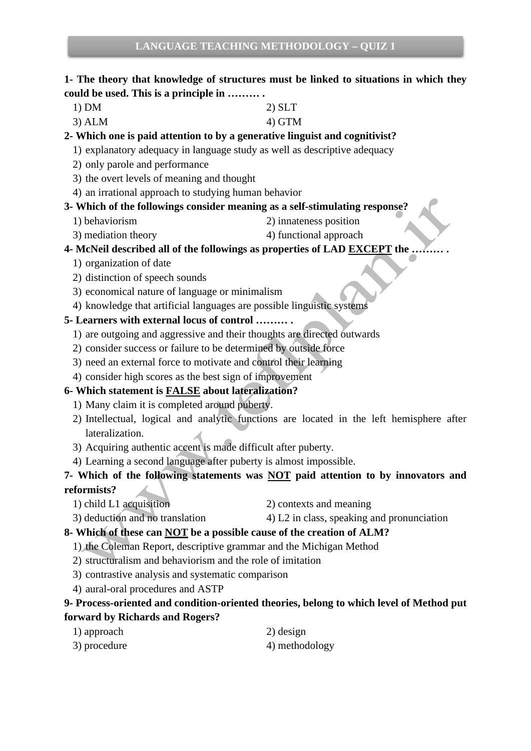### **1- The theory that knowledge of structures must be linked to situations in which they could be used. This is a principle in ……… .**

- 1) DM 2) SLT
- $3)$  ALM  $4)$  GTM

### **2- Which one is paid attention to by a generative linguist and cognitivist?**

1) explanatory adequacy in language study as well as descriptive adequacy

- 2) only parole and performance
- 3) the overt levels of meaning and thought
- 4) an irrational approach to studying human behavior

### **3- Which of the followings consider meaning as a self-stimulating response?**

- 1) behaviorism 2) innateness position
- 3) mediation theory 4) functional approach

### **4- McNeil described all of the followings as properties of LAD EXCEPT the ……… .**

- 1) organization of date
- 2) distinction of speech sounds
- 3) economical nature of language or minimalism
- 4) knowledge that artificial languages are possible linguistic systems

### **5- Learners with external locus of control ……… .**

- 1) are outgoing and aggressive and their thoughts are directed outwards
- 2) consider success or failure to be determined by outside force
- 3) need an external force to motivate and control their learning
- 4) consider high scores as the best sign of improvement

### **6- Which statement is FALSE about lateralization?**

- 1) Many claim it is completed around puberty.
- 2) Intellectual, logical and analytic functions are located in the left hemisphere after lateralization.
- 3) Acquiring authentic accent is made difficult after puberty.
- 4) Learning a second language after puberty is almost impossible.

### **7- Which of the following statements was NOT paid attention to by innovators and reformists?**

- 1) child L1 acquisition 2) contexts and meaning
- 3) deduction and no translation 4) L2 in class, speaking and pronunciation

### **8- Which of these can NOT be a possible cause of the creation of ALM?**

- 1) the Coleman Report, descriptive grammar and the Michigan Method
- 2) structuralism and behaviorism and the role of imitation
- 3) contrastive analysis and systematic comparison
- 4) aural-oral procedures and ASTP

### **9- Process-oriented and condition-oriented theories, belong to which level of Method put forward by Richards and Rogers?**

1) approach 2) design 3) procedure 4) methodology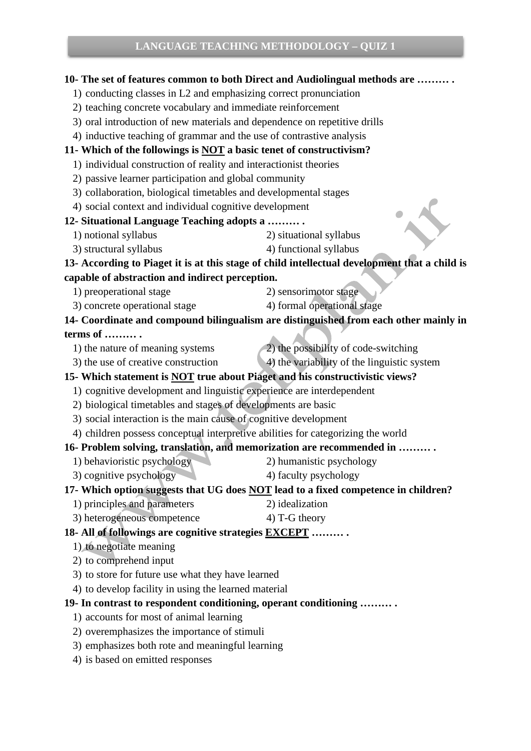## **10- The set of features common to both Direct and Audiolingual methods are ……… .** 1) conducting classes in L2 and emphasizing correct pronunciation 2) teaching concrete vocabulary and immediate reinforcement 3) oral introduction of new materials and dependence on repetitive drills 4) inductive teaching of grammar and the use of contrastive analysis **11- Which of the followings is NOT a basic tenet of constructivism?** 1) individual construction of reality and interactionist theories 2) passive learner participation and global community 3) collaboration, biological timetables and developmental stages 4) social context and individual cognitive development **12- Situational Language Teaching adopts a ……… .** 1) notional syllabus 2) situational syllabus 3) structural syllabus 4) functional syllabus **13- According to Piaget it is at this stage of child intellectual development that a child is capable of abstraction and indirect perception.** 1) preoperational stage 2) sensorimotor stage 3) concrete operational stage 4) formal operational stage **14- Coordinate and compound bilingualism are distinguished from each other mainly in terms of ……… .** 1) the nature of meaning systems 2) the possibility of code-switching 3) the use of creative construction 4) the variability of the linguistic system **15- Which statement is NOT true about Piaget and his constructivistic views?** 1) cognitive development and linguistic experience are interdependent 2) biological timetables and stages of developments are basic 3) social interaction is the main cause of cognitive development 4) children possess conceptual interpretive abilities for categorizing the world **16- Problem solving, translation, and memorization are recommended in ……… .** 1) behavioristic psychology 2) humanistic psychology 3) cognitive psychology 4) faculty psychology **17- Which option suggests that UG does NOT lead to a fixed competence in children?** 1) principles and parameters 2) idealization 3) heterogeneous competence 4) T-G theory **18- All of followings are cognitive strategies EXCEPT ……… .** 1) to negotiate meaning 2) to comprehend input 3) to store for future use what they have learned 4) to develop facility in using the learned material **19- In contrast to respondent conditioning, operant conditioning ……… .** 1) accounts for most of animal learning 2) overemphasizes the importance of stimuli 3) emphasizes both rote and meaningful learning 4) is based on emitted responses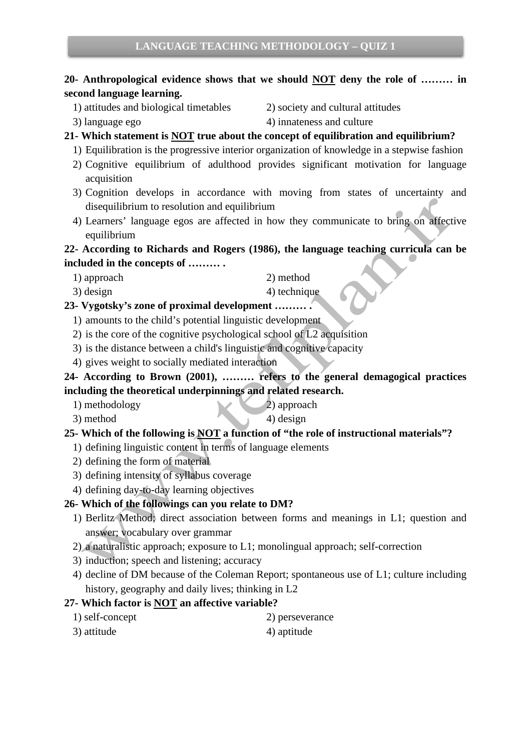### **20- Anthropological evidence shows that we should NOT deny the role of ……… in second language learning.**

- 1) attitudes and biological timetables 2) society and cultural attitudes
- 
- 
- 3) language ego 4) innateness and culture

### **21- Which statement is NOT true about the concept of equilibration and equilibrium?**

- 1) Equilibration is the progressive interior organization of knowledge in a stepwise fashion 2) Cognitive equilibrium of adulthood provides significant motivation for language acquisition
- 3) Cognition develops in accordance with moving from states of uncertainty and disequilibrium to resolution and equilibrium
- 4) Learners' language egos are affected in how they communicate to bring on affective equilibrium

# **22- According to Richards and Rogers (1986), the language teaching curricula can be**

**included in the concepts of ……… .**

- 1) approach 2) method
- 3) design 4) technique

### **23- Vygotsky's zone of proximal development ……… .**

- 1) amounts to the child's potential linguistic development
- 2) is the core of the cognitive psychological school of L2 acquisition
- 3) is the distance between a child's linguistic and cognitive capacity
- 4) gives weight to socially mediated interaction

### **24- According to Brown (2001), ……… refers to the general demagogical practices including the theoretical underpinnings and related research.**

- 1) methodology 2) approach
	- $3)$  method  $4)$  design
		-

### **25- Which of the following is NOT a function of "the role of instructional materials"?**

- 1) defining linguistic content in terms of language elements
- 2) defining the form of material
- 3) defining intensity of syllabus coverage
- 4) defining day-to-day learning objectives

### **26- Which of the followings can you relate to DM?**

- 1) Berlitz Method; direct association between forms and meanings in L1; question and answer; vocabulary over grammar
- 2) a naturalistic approach; exposure to L1; monolingual approach; self-correction
- 3) induction; speech and listening; accuracy
- 4) decline of DM because of the Coleman Report; spontaneous use of L1; culture including history, geography and daily lives; thinking in L2

### **27- Which factor is NOT an affective variable?**

- 1) self-concept 2) perseverance
- 3) attitude 4) aptitude